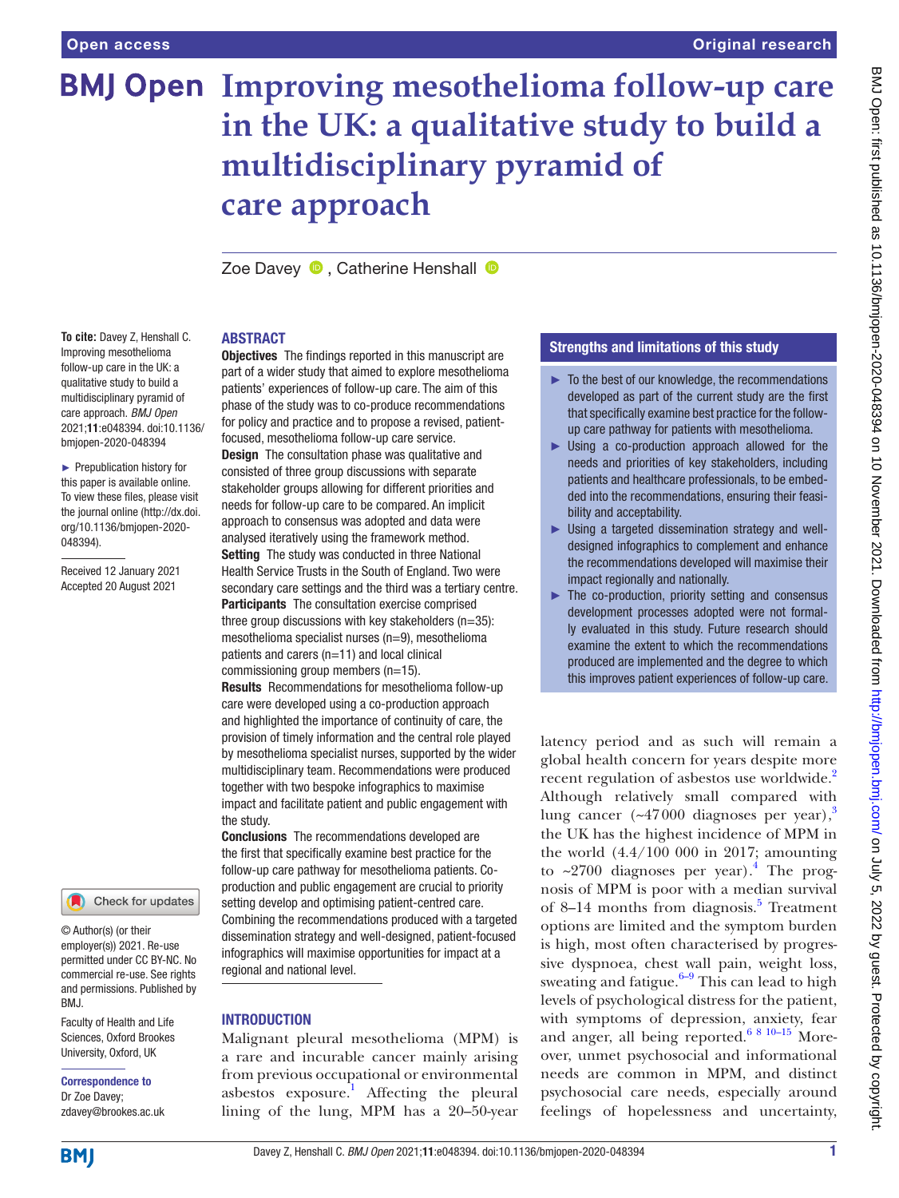# **BMJ Open Improving mesothelioma follow-up care in the UK: a qualitative study to build a multidisciplinary pyramid of care approach**

ZoeDavey **D**. Catherine Henshall **D** 

#### ABSTRACT

**To cite:** Davey Z, Henshall C. Improving mesothelioma follow-up care in the UK: a qualitative study to build a multidisciplinary pyramid of care approach. *BMJ Open* 2021;11:e048394. doi:10.1136/ bmjopen-2020-048394

► Prepublication history for this paper is available online. To view these files, please visit the journal online [\(http://dx.doi.](http://dx.doi.org/10.1136/bmjopen-2020-048394) [org/10.1136/bmjopen-2020-](http://dx.doi.org/10.1136/bmjopen-2020-048394) [048394\)](http://dx.doi.org/10.1136/bmjopen-2020-048394).

Received 12 January 2021 Accepted 20 August 2021



© Author(s) (or their employer(s)) 2021. Re-use permitted under CC BY-NC. No commercial re-use. See rights and permissions. Published by BMJ.

Faculty of Health and Life Sciences, Oxford Brookes University, Oxford, UK

# Correspondence to

Dr Zoe Davey; zdavey@brookes.ac.uk **Objectives** The findings reported in this manuscript are part of a wider study that aimed to explore mesothelioma patients' experiences of follow-up care. The aim of this phase of the study was to co-produce recommendations for policy and practice and to propose a revised, patientfocused, mesothelioma follow-up care service. **Design** The consultation phase was qualitative and

consisted of three group discussions with separate stakeholder groups allowing for different priorities and needs for follow-up care to be compared. An implicit approach to consensus was adopted and data were analysed iteratively using the framework method. **Setting** The study was conducted in three National Health Service Trusts in the South of England. Two were secondary care settings and the third was a tertiary centre. Participants The consultation exercise comprised three group discussions with key stakeholders ( $n=35$ ): mesothelioma specialist nurses (n=9), mesothelioma patients and carers (n=11) and local clinical commissioning group members (n=15).

Results Recommendations for mesothelioma follow-up care were developed using a co-production approach and highlighted the importance of continuity of care, the provision of timely information and the central role played by mesothelioma specialist nurses, supported by the wider multidisciplinary team. Recommendations were produced together with two bespoke infographics to maximise impact and facilitate patient and public engagement with the study.

Conclusions The recommendations developed are the first that specifically examine best practice for the follow-up care pathway for mesothelioma patients. Coproduction and public engagement are crucial to priority setting develop and optimising patient-centred care. Combining the recommendations produced with a targeted dissemination strategy and well-designed, patient-focused infographics will maximise opportunities for impact at a regional and national level.

## **INTRODUCTION**

Malignant pleural mesothelioma (MPM) is a rare and incurable cancer mainly arising from previous occupational or environmental asbestos exposure.<sup>1</sup> Affecting the pleural lining of the lung, MPM has a 20–50-year

# Strengths and limitations of this study

- ► To the best of our knowledge, the recommendations developed as part of the current study are the first that specifically examine best practice for the followup care pathway for patients with mesothelioma.
- ► Using a co-production approach allowed for the needs and priorities of key stakeholders, including patients and healthcare professionals, to be embedded into the recommendations, ensuring their feasibility and acceptability.
- ► Using a targeted dissemination strategy and welldesigned infographics to complement and enhance the recommendations developed will maximise their impact regionally and nationally.
- $\blacktriangleright$  The co-production, priority setting and consensus development processes adopted were not formally evaluated in this study. Future research should examine the extent to which the recommendations produced are implemented and the degree to which this improves patient experiences of follow-up care.

latency period and as such will remain a global health concern for years despite more recent regulation of asbestos use worldwide.<sup>2</sup> Although relatively small compared with lung cancer ( $\approx$ 47000 diagnoses per year),<sup>3</sup> the UK has the highest incidence of MPM in the world (4.4/100 000 in 2017; amounting to  $\sim$ 2700 diagnoses per year).<sup>[4](#page-7-3)</sup> The prognosis of MPM is poor with a median survival of 8–14 months from diagnosis.<sup>[5](#page-7-4)</sup> Treatment options are limited and the symptom burden is high, most often characterised by progressive dyspnoea, chest wall pain, weight loss, sweating and fatigue. $6-9$  This can lead to high levels of psychological distress for the patient, with symptoms of depression, anxiety, fear and anger, all being reported.<sup>6 8 10–15</sup> Moreover, unmet psychosocial and informational needs are common in MPM, and distinct psychosocial care needs, especially around feelings of hopelessness and uncertainty,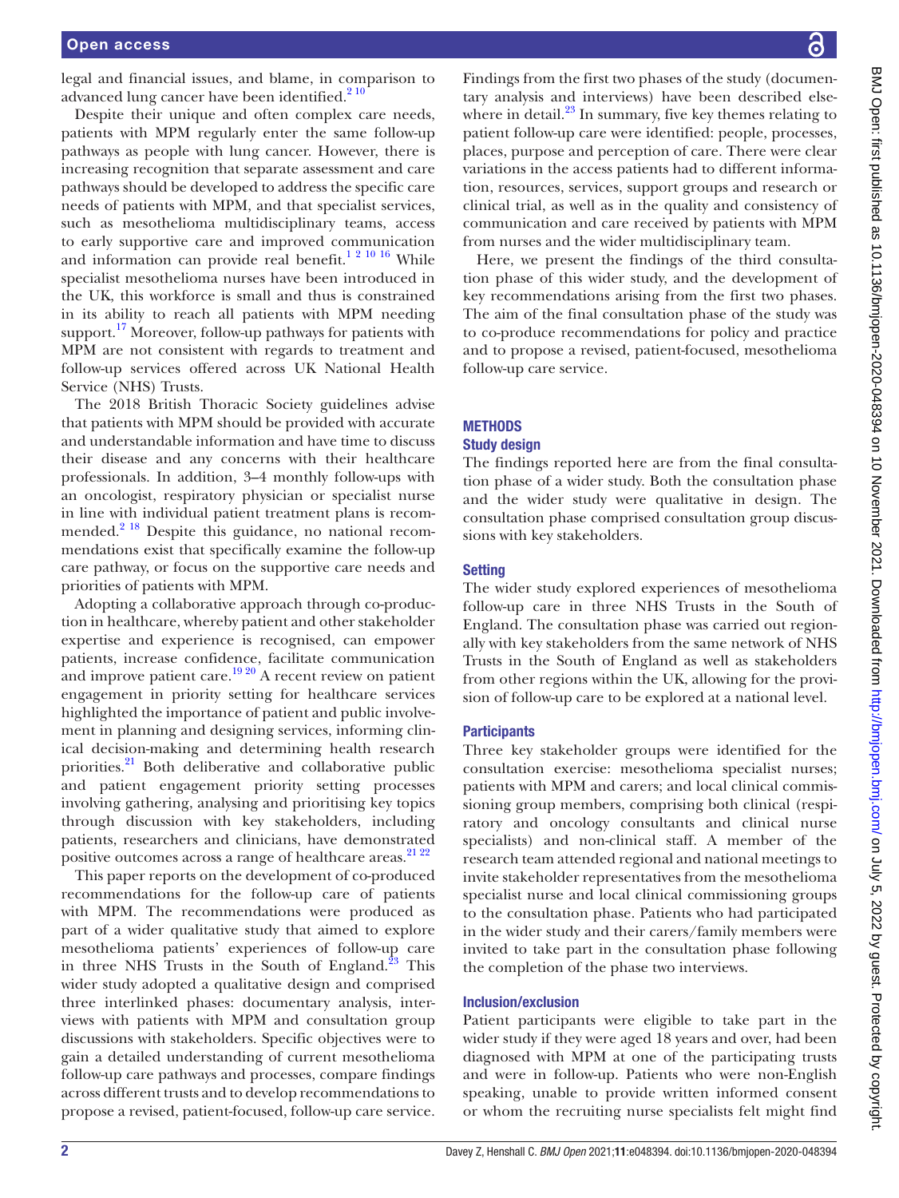legal and financial issues, and blame, in comparison to advanced lung cancer have been identified. $2^{10}$ 

Despite their unique and often complex care needs, patients with MPM regularly enter the same follow-up pathways as people with lung cancer. However, there is increasing recognition that separate assessment and care pathways should be developed to address the specific care needs of patients with MPM, and that specialist services, such as mesothelioma multidisciplinary teams, access to early supportive care and improved communication and information can provide real benefit.<sup>1 2 10 16</sup> While specialist mesothelioma nurses have been introduced in the UK, this workforce is small and thus is constrained in its ability to reach all patients with MPM needing support.<sup>17</sup> Moreover, follow-up pathways for patients with MPM are not consistent with regards to treatment and follow-up services offered across UK National Health Service (NHS) Trusts.

The 2018 British Thoracic Society guidelines advise that patients with MPM should be provided with accurate and understandable information and have time to discuss their disease and any concerns with their healthcare professionals. In addition, 3–4 monthly follow-ups with an oncologist, respiratory physician or specialist nurse in line with individual patient treatment plans is recommended.<sup>2 18</sup> Despite this guidance, no national recommendations exist that specifically examine the follow-up care pathway, or focus on the supportive care needs and priorities of patients with MPM.

Adopting a collaborative approach through co-production in healthcare, whereby patient and other stakeholder expertise and experience is recognised, can empower patients, increase confidence, facilitate communication and improve patient care.<sup>[19 20](#page-7-7)</sup> A recent review on patient engagement in priority setting for healthcare services highlighted the importance of patient and public involvement in planning and designing services, informing clinical decision-making and determining health research priorities.[21](#page-7-8) Both deliberative and collaborative public and patient engagement priority setting processes involving gathering, analysing and prioritising key topics through discussion with key stakeholders, including patients, researchers and clinicians, have demonstrated positive outcomes across a range of healthcare areas.<sup>21</sup> <sup>22</sup>

This paper reports on the development of co-produced recommendations for the follow-up care of patients with MPM. The recommendations were produced as part of a wider qualitative study that aimed to explore mesothelioma patients' experiences of follow-up care in three NHS Trusts in the South of England. $23$  This wider study adopted a qualitative design and comprised three interlinked phases: documentary analysis, interviews with patients with MPM and consultation group discussions with stakeholders. Specific objectives were to gain a detailed understanding of current mesothelioma follow-up care pathways and processes, compare findings across different trusts and to develop recommendations to propose a revised, patient-focused, follow-up care service.

Findings from the first two phases of the study (documentary analysis and interviews) have been described elsewhere in detail.<sup>23</sup> In summary, five key themes relating to patient follow-up care were identified: people, processes, places, purpose and perception of care. There were clear variations in the access patients had to different information, resources, services, support groups and research or clinical trial, as well as in the quality and consistency of communication and care received by patients with MPM from nurses and the wider multidisciplinary team.

Here, we present the findings of the third consultation phase of this wider study, and the development of key recommendations arising from the first two phases. The aim of the final consultation phase of the study was to co-produce recommendations for policy and practice and to propose a revised, patient-focused, mesothelioma follow-up care service.

# **METHODS**

#### Study design

The findings reported here are from the final consultation phase of a wider study. Both the consultation phase and the wider study were qualitative in design. The consultation phase comprised consultation group discussions with key stakeholders.

### **Setting**

The wider study explored experiences of mesothelioma follow-up care in three NHS Trusts in the South of England. The consultation phase was carried out regionally with key stakeholders from the same network of NHS Trusts in the South of England as well as stakeholders from other regions within the UK, allowing for the provision of follow-up care to be explored at a national level.

#### **Participants**

Three key stakeholder groups were identified for the consultation exercise: mesothelioma specialist nurses; patients with MPM and carers; and local clinical commissioning group members, comprising both clinical (respiratory and oncology consultants and clinical nurse specialists) and non-clinical staff. A member of the research team attended regional and national meetings to invite stakeholder representatives from the mesothelioma specialist nurse and local clinical commissioning groups to the consultation phase. Patients who had participated in the wider study and their carers/family members were invited to take part in the consultation phase following the completion of the phase two interviews.

#### Inclusion/exclusion

Patient participants were eligible to take part in the wider study if they were aged 18 years and over, had been diagnosed with MPM at one of the participating trusts and were in follow-up. Patients who were non-English speaking, unable to provide written informed consent or whom the recruiting nurse specialists felt might find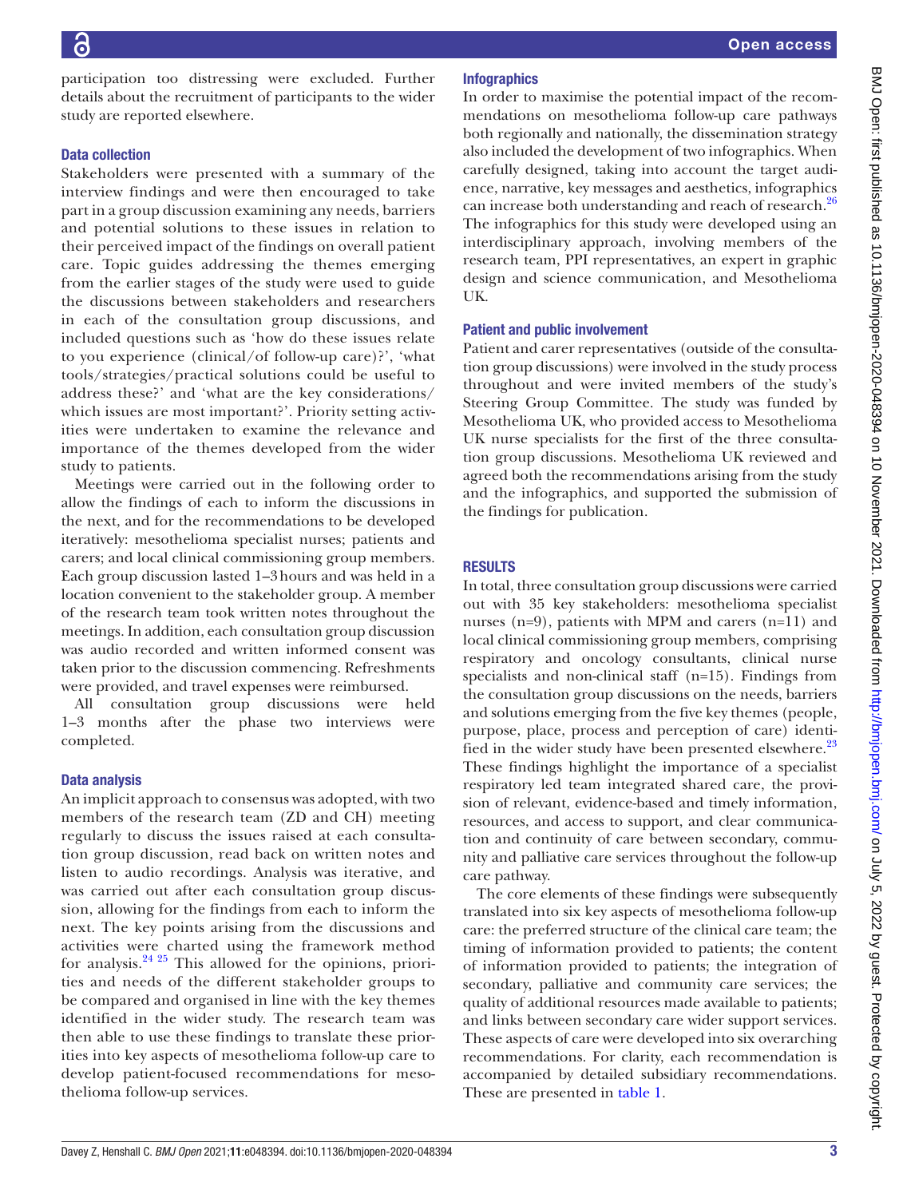participation too distressing were excluded. Further details about the recruitment of participants to the wider study are reported elsewhere.

#### Data collection

Stakeholders were presented with a summary of the interview findings and were then encouraged to take part in a group discussion examining any needs, barriers and potential solutions to these issues in relation to their perceived impact of the findings on overall patient care. Topic guides addressing the themes emerging from the earlier stages of the study were used to guide the discussions between stakeholders and researchers in each of the consultation group discussions, and included questions such as 'how do these issues relate to you experience (clinical/of follow-up care)?', 'what tools/strategies/practical solutions could be useful to address these?' and 'what are the key considerations/ which issues are most important?'. Priority setting activities were undertaken to examine the relevance and importance of the themes developed from the wider study to patients.

Meetings were carried out in the following order to allow the findings of each to inform the discussions in the next, and for the recommendations to be developed iteratively: mesothelioma specialist nurses; patients and carers; and local clinical commissioning group members. Each group discussion lasted 1–3hours and was held in a location convenient to the stakeholder group. A member of the research team took written notes throughout the meetings. In addition, each consultation group discussion was audio recorded and written informed consent was taken prior to the discussion commencing. Refreshments were provided, and travel expenses were reimbursed.

All consultation group discussions were held 1–3 months after the phase two interviews were completed.

#### Data analysis

An implicit approach to consensus was adopted, with two members of the research team (ZD and CH) meeting regularly to discuss the issues raised at each consultation group discussion, read back on written notes and listen to audio recordings. Analysis was iterative, and was carried out after each consultation group discussion, allowing for the findings from each to inform the next. The key points arising from the discussions and activities were charted using the framework method for analysis.[24 25](#page-8-1) This allowed for the opinions, priorities and needs of the different stakeholder groups to be compared and organised in line with the key themes identified in the wider study. The research team was then able to use these findings to translate these priorities into key aspects of mesothelioma follow-up care to develop patient-focused recommendations for mesothelioma follow-up services.

#### **Infographics**

In order to maximise the potential impact of the recommendations on mesothelioma follow-up care pathways both regionally and nationally, the dissemination strategy also included the development of two infographics. When carefully designed, taking into account the target audience, narrative, key messages and aesthetics, infographics can increase both understanding and reach of research.<sup>[26](#page-8-2)</sup> The infographics for this study were developed using an interdisciplinary approach, involving members of the research team, PPI representatives, an expert in graphic design and science communication, and Mesothelioma UK.

#### Patient and public involvement

Patient and carer representatives (outside of the consultation group discussions) were involved in the study process throughout and were invited members of the study's Steering Group Committee. The study was funded by Mesothelioma UK, who provided access to Mesothelioma UK nurse specialists for the first of the three consultation group discussions. Mesothelioma UK reviewed and agreed both the recommendations arising from the study and the infographics, and supported the submission of the findings for publication.

#### **RESULTS**

In total, three consultation group discussions were carried out with 35 key stakeholders: mesothelioma specialist nurses (n=9), patients with MPM and carers (n=11) and local clinical commissioning group members, comprising respiratory and oncology consultants, clinical nurse specialists and non-clinical staff (n=15). Findings from the consultation group discussions on the needs, barriers and solutions emerging from the five key themes (people, purpose, place, process and perception of care) identi-fied in the wider study have been presented elsewhere.<sup>[23](#page-8-0)</sup> These findings highlight the importance of a specialist respiratory led team integrated shared care, the provision of relevant, evidence-based and timely information, resources, and access to support, and clear communication and continuity of care between secondary, community and palliative care services throughout the follow-up care pathway.

The core elements of these findings were subsequently translated into six key aspects of mesothelioma follow-up care: the preferred structure of the clinical care team; the timing of information provided to patients; the content of information provided to patients; the integration of secondary, palliative and community care services; the quality of additional resources made available to patients; and links between secondary care wider support services. These aspects of care were developed into six overarching recommendations. For clarity, each recommendation is accompanied by detailed subsidiary recommendations. These are presented in [table](#page-3-0) 1.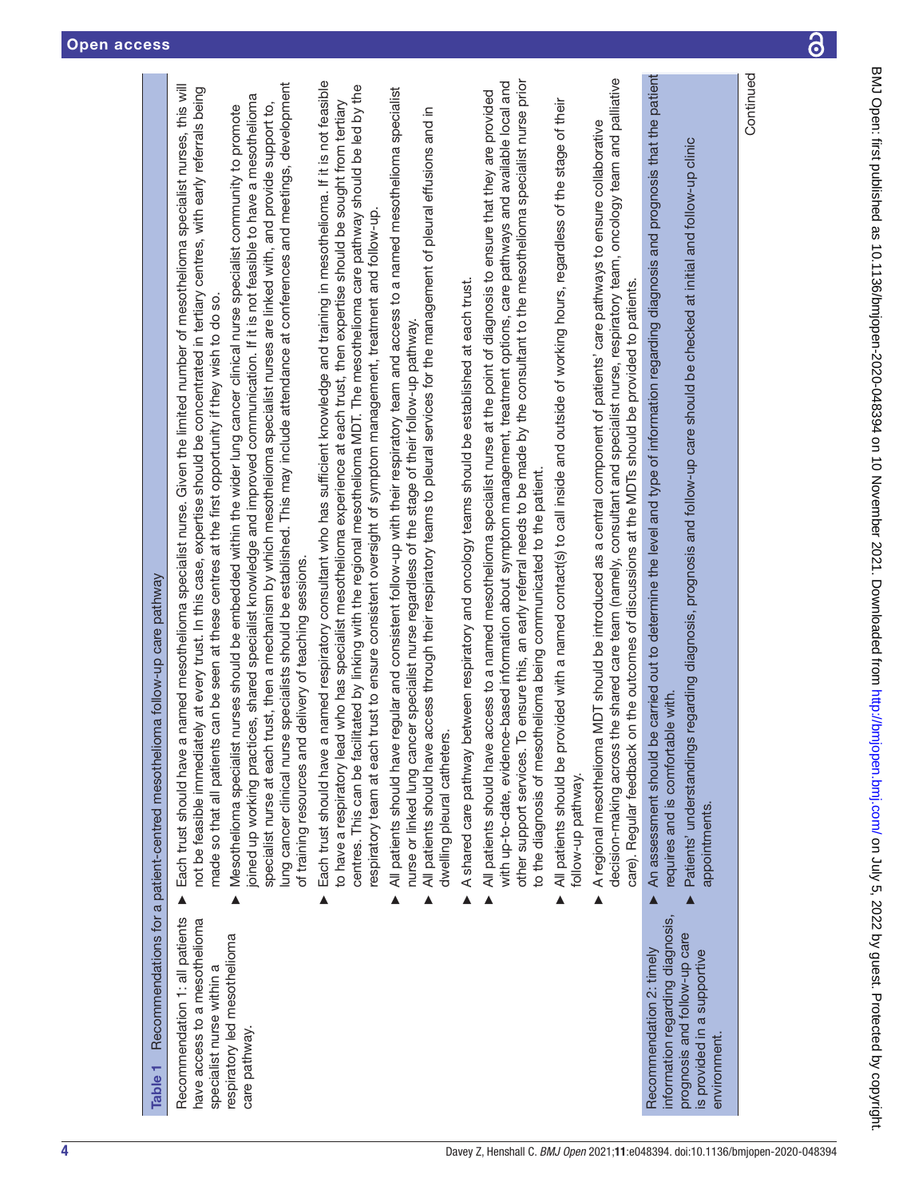<span id="page-3-0"></span>

| Recommendations for a patient-centred mesothelioma follow-up care pathway | lung cancer clinical nurse specialists should be established. This may include attendance at conferences and meetings, development<br>a named mesothelioma specialist nurse. Given the limited number of mesothelioma specialist nurses, this will<br>not be feasible immediately at every trust. In this case, expertise should be concentrated in tertiary centres, with early referrals being<br>joined up working practices, shared specialist knowledge and improved communication. If it is not feasible to have a mesothelioma<br>specialist nurse at each trust, then a mechanism by which mesothelioma specialist nurses are linked with, and provide support to,<br>Mesothelioma specialist nurses should be embedded within the wider lung cancer clinical nurse specialist community to promote<br>made so that all patients can be seen at these centres at the first opportunity if they wish to do so.<br>of training resources and delivery of teaching sessions.<br>Each trust should have | a named respiratory consultant who has sufficient knowledge and training in mesothelioma. If it is not feasible<br>centres. This can be facilitated by linking with the regional mesothelioma MDT. The mesothelioma care pathway should be led by the<br>to have a respiratory lead who has specialist mesothelioma experience at each trust, then expertise should be sought from tertiary<br>respiratory team at each trust to ensure consistent oversight of symptom management, treatment and follow-up.<br>Each trust should have<br>▲ | All patients should have regular and consistent follow-up with their respiratory team and access to a named mesothelioma specialist<br>All patients should have access through their respiratory teams to pleural services for the management of pleural effusions and in<br>nurse or linked lung cancer specialist nurse regardless of the stage of their follow-up pathway.<br>dwelling pleural catheters.<br>Δ | A shared care pathway between respiratory and oncology teams should be established at each trust. | other support services. To ensure this, an early referral needs to be made by the consultant to the mesothelioma specialist nurse prior<br>with up-to-date, evidence-based information about symptom management, treatment options, care pathways and available local and<br>All patients should have access to a named mesothelioma specialist nurse at the point of diagnosis to ensure that they are provided<br>to the diagnosis of mesothelioma being communicated to the patient. | provided with a named contact(s) to call inside and outside of working hours, regardless of the stage of their<br>All patients should be p<br>follow-up pathway. | decision-making across the shared care team (namely, consultant and specialist nurse, respiratory team, oncology team and palliative<br>a MDT should be introduced as a central component of patients' care pathways to ensure collaborative<br>care). Regular feedback on the outcomes of discussions at the MDTs should be provided to patients.<br>A regional mesotheliom<br>Â | be carried out to determine the level and type of information regarding diagnosis and prognosis that the patient<br>Patients' understandings regarding diagnosis, prognosis and follow-up care should be checked at initial and follow-up clinic<br>requires and is comfortable with.<br>An assessment should | appointments                                |
|---------------------------------------------------------------------------|-------------------------------------------------------------------------------------------------------------------------------------------------------------------------------------------------------------------------------------------------------------------------------------------------------------------------------------------------------------------------------------------------------------------------------------------------------------------------------------------------------------------------------------------------------------------------------------------------------------------------------------------------------------------------------------------------------------------------------------------------------------------------------------------------------------------------------------------------------------------------------------------------------------------------------------------------------------------------------------------------------------|---------------------------------------------------------------------------------------------------------------------------------------------------------------------------------------------------------------------------------------------------------------------------------------------------------------------------------------------------------------------------------------------------------------------------------------------------------------------------------------------------------------------------------------------|-------------------------------------------------------------------------------------------------------------------------------------------------------------------------------------------------------------------------------------------------------------------------------------------------------------------------------------------------------------------------------------------------------------------|---------------------------------------------------------------------------------------------------|-----------------------------------------------------------------------------------------------------------------------------------------------------------------------------------------------------------------------------------------------------------------------------------------------------------------------------------------------------------------------------------------------------------------------------------------------------------------------------------------|------------------------------------------------------------------------------------------------------------------------------------------------------------------|-----------------------------------------------------------------------------------------------------------------------------------------------------------------------------------------------------------------------------------------------------------------------------------------------------------------------------------------------------------------------------------|---------------------------------------------------------------------------------------------------------------------------------------------------------------------------------------------------------------------------------------------------------------------------------------------------------------|---------------------------------------------|
| Table <sub>1</sub>                                                        | Recommendation 1: all patients<br>have access to a mesothelioma<br>respiratory led mesothelioma<br>specialist nurse within a<br>care pathway.                                                                                                                                                                                                                                                                                                                                                                                                                                                                                                                                                                                                                                                                                                                                                                                                                                                               |                                                                                                                                                                                                                                                                                                                                                                                                                                                                                                                                             |                                                                                                                                                                                                                                                                                                                                                                                                                   |                                                                                                   |                                                                                                                                                                                                                                                                                                                                                                                                                                                                                         |                                                                                                                                                                  |                                                                                                                                                                                                                                                                                                                                                                                   | information regarding diagnosis,<br>prognosis and follow-up care<br>Recommendation 2: timely                                                                                                                                                                                                                  | is provided in a supportive<br>environment. |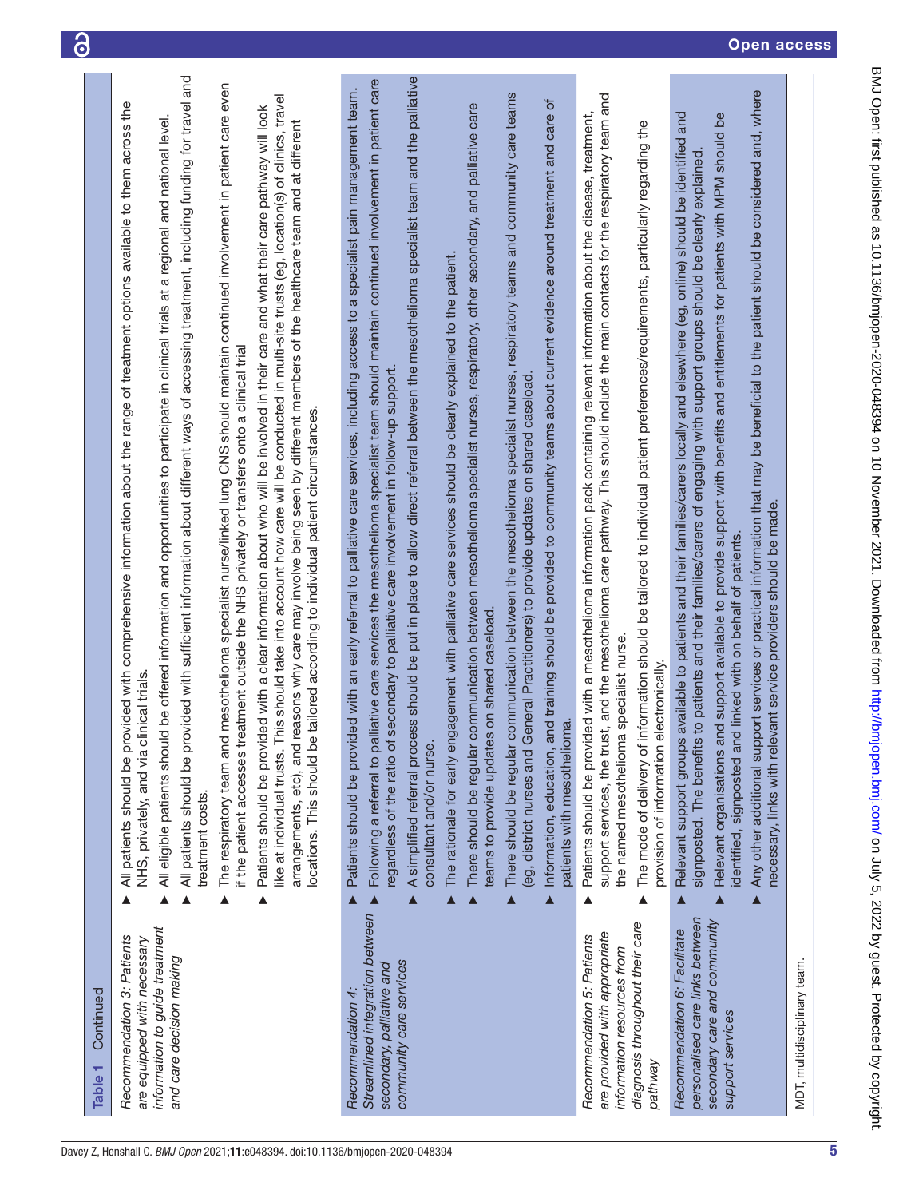| Continued<br>Table 1                                                                                                                    |   |                                                                                                                                                                                                                                                                                                                                                                                                                                                                                                                                                                                                                                                                                                                                                                                                                                                                                                                                                                                                                                                                                                                                                                                                                                                             |
|-----------------------------------------------------------------------------------------------------------------------------------------|---|-------------------------------------------------------------------------------------------------------------------------------------------------------------------------------------------------------------------------------------------------------------------------------------------------------------------------------------------------------------------------------------------------------------------------------------------------------------------------------------------------------------------------------------------------------------------------------------------------------------------------------------------------------------------------------------------------------------------------------------------------------------------------------------------------------------------------------------------------------------------------------------------------------------------------------------------------------------------------------------------------------------------------------------------------------------------------------------------------------------------------------------------------------------------------------------------------------------------------------------------------------------|
| information to guide treatment<br>Recommendation 3: Patients<br>are equipped with necessary<br>and care decision making                 | ▲ | All patients should be provided with sufficient information about different ways of accessing treatment, including funding for travel and<br>The respiratory team and mesothelioma specialist nurse/linked lung CNS should maintain continued involvement in patient care even<br>like at individual trusts. This should take into account how care will be conducted in multi-site trusts (eg, location(s) of clinics, travel<br>All patients should be provided with comprehensive information about the range of treatment options available to them across the<br>Patients should be provided with a clear information about who will be involved in their care and what their care pathway will look<br>ld be offered information and opportunities to participate in clinical trials at a regional and national level<br>arrangements, etc), and reasons why care may involve being seen by different members of the healthcare team and at different<br>eatment outside the NHS privately or transfers onto a clinical trial<br>locations. This should be tailored according to individual patient circumstances.<br>NHS, privately, and via clinical trials<br>All eligible patients shou<br>if the patient accesses tr<br>treatment costs.         |
| Streamlined integration between<br>community care services<br>secondary, palliative and<br>Recommendation 4:                            |   | ess should be put in place to allow direct referral between the mesothelioma specialist team and the palliative<br>Following a referral to palliative care services the mesothelioma specialist team should maintain continued involvement in patient care<br>Patients should be provided with an early referral to palliative care services, including access to a specialist pain management team.<br>communication between the mesothelioma specialist nurses, respiratory teams and community care teams<br>Information, education, and training should be provided to community teams about current evidence around treatment and care of<br>communication between mesothelioma specialist nurses, respiratory, other secondary, and palliative care<br>The rationale for early engagement with palliative care services should be clearly explained to the patient.<br>egardless of the ratio of secondary to palliative care involvement in follow-up support<br>(eg, district nurses and General Practitioners) to provide updates on shared caseload<br>teams to provide updates on shared caseload<br>patients with mesothelioma.<br>A simplified referral proc<br>consultant and/or nurse.<br>There should be regular<br>There should be regular |
| diagnosis throughout their care<br>are provided with appropriate<br>Recommendation 5: Patients<br>information resources from<br>pathway | ▲ | support services, the trust, and the mesothelioma care pathway. This should include the main contacts for the respiratory team and<br>Patients should be provided with a mesothelioma information pack containing relevant information about the disease, treatment,<br>information should be tailored to individual patient preferences/requirements, particularly regarding the<br>the named mesothelioma specialist nurse.<br>electronically.<br>provision of information<br>The mode of delivery of                                                                                                                                                                                                                                                                                                                                                                                                                                                                                                                                                                                                                                                                                                                                                     |
| personalised care links between<br>secondary care and community<br>Recommendation 6: Facilitate<br>support services                     |   | Any other additional support services or practical information that may be beneficial to the patient should be considered and, where<br>Relevant support groups available to patients and their families/carers locally and elsewhere (eg, online) should be identified and<br>Relevant organisations and support available to provide support with benefits and entitlements for patients with MPM should be<br>signposted. The benefits to patients and their families/carers of engaging with support groups should be clearly explained<br>necessary, links with relevant service providers should be made.<br>identified, signposted and linked with on behalf of patients.                                                                                                                                                                                                                                                                                                                                                                                                                                                                                                                                                                            |
| MDT, multidisciplinary team.                                                                                                            |   |                                                                                                                                                                                                                                                                                                                                                                                                                                                                                                                                                                                                                                                                                                                                                                                                                                                                                                                                                                                                                                                                                                                                                                                                                                                             |

5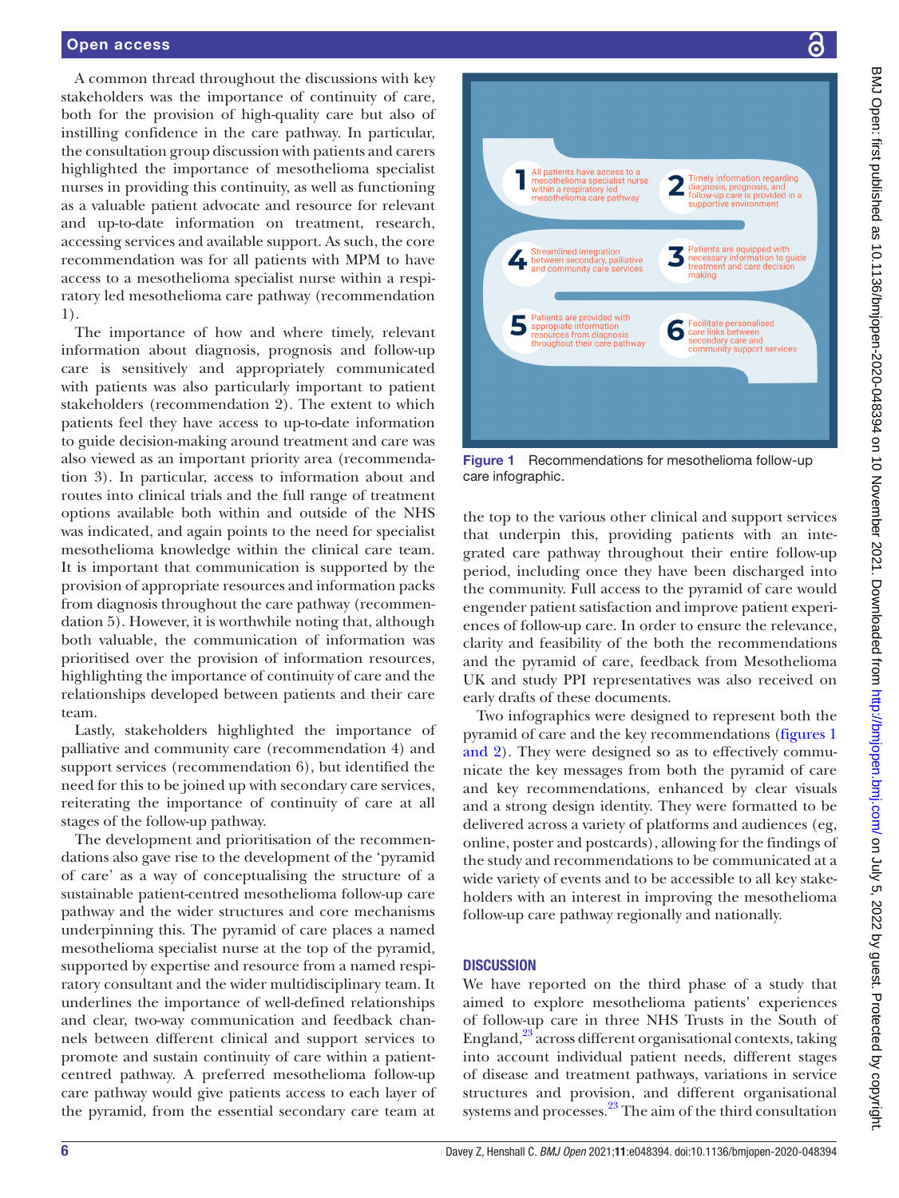#### Open access

A common thread throughout the discussions with key stakeholders was the importance of continuity of care, both for the provision of high-quality care but also of instilling confidence in the care pathway. In particular, the consultation group discussion with patients and carers highlighted the importance of mesothelioma specialist nurses in providing this continuity, as well as functioning as a valuable patient advocate and resource for relevant and up-to-date information on treatment, research, accessing services and available support. As such, the core recommendation was for all patients with MPM to have access to a mesothelioma specialist nurse within a respiratory led mesothelioma care pathway (recommendation 1).

The importance of how and where timely, relevant information about diagnosis, prognosis and follow-up care is sensitively and appropriately communicated with patients was also particularly important to patient stakeholders (recommendation 2). The extent to which patients feel they have access to up-to-date information to guide decision-making around treatment and care was also viewed as an important priority area (recommendation 3). In particular, access to information about and routes into clinical trials and the full range of treatment options available both within and outside of the NHS was indicated, and again points to the need for specialist mesothelioma knowledge within the clinical care team. It is important that communication is supported by the provision of appropriate resources and information packs from diagnosis throughout the care pathway (recommendation 5). However, it is worthwhile noting that, although both valuable, the communication of information was prioritised over the provision of information resources, highlighting the importance of continuity of care and the relationships developed between patients and their care team.

Lastly, stakeholders highlighted the importance of palliative and community care (recommendation 4) and support services (recommendation 6), but identified the need for this to be joined up with secondary care services, reiterating the importance of continuity of care at all stages of the follow-up pathway.

The development and prioritisation of the recommendations also gave rise to the development of the 'pyramid of care' as a way of conceptualising the structure of a sustainable patient-centred mesothelioma follow-up care pathway and the wider structures and core mechanisms underpinning this. The pyramid of care places a named mesothelioma specialist nurse at the top of the pyramid, supported by expertise and resource from a named respiratory consultant and the wider multidisciplinary team. It underlines the importance of well-defined relationships and clear, two-way communication and feedback channels between different clinical and support services to promote and sustain continuity of care within a patientcentred pathway. A preferred mesothelioma follow-up care pathway would give patients access to each layer of the pyramid, from the essential secondary care team at



<span id="page-5-0"></span>Figure 1 Recommendations for mesothelioma follow-up care infographic.

the top to the various other clinical and support services that underpin this, providing patients with an integrated care pathway throughout their entire follow-up period, including once they have been discharged into the community. Full access to the pyramid of care would engender patient satisfaction and improve patient experiences of follow-up care. In order to ensure the relevance, clarity and feasibility of the both the recommendations and the pyramid of care, feedback from Mesothelioma UK and study PPI representatives was also received on early drafts of these documents.

Two infographics were designed to represent both the pyramid of care and the key recommendations [\(figures](#page-5-0) 1 [and 2](#page-5-0)). They were designed so as to effectively communicate the key messages from both the pyramid of care and key recommendations, enhanced by clear visuals and a strong design identity. They were formatted to be delivered across a variety of platforms and audiences (eg, online, poster and postcards), allowing for the findings of the study and recommendations to be communicated at a wide variety of events and to be accessible to all key stakeholders with an interest in improving the mesothelioma follow-up care pathway regionally and nationally.

#### **DISCUSSION**

We have reported on the third phase of a study that aimed to explore mesothelioma patients' experiences of follow-up care in three NHS Trusts in the South of England, $^{23}$  $^{23}$  $^{23}$  across different organisational contexts, taking into account individual patient needs, different stages of disease and treatment pathways, variations in service structures and provision, and different organisational systems and processes.<sup>23</sup> The aim of the third consultation

႕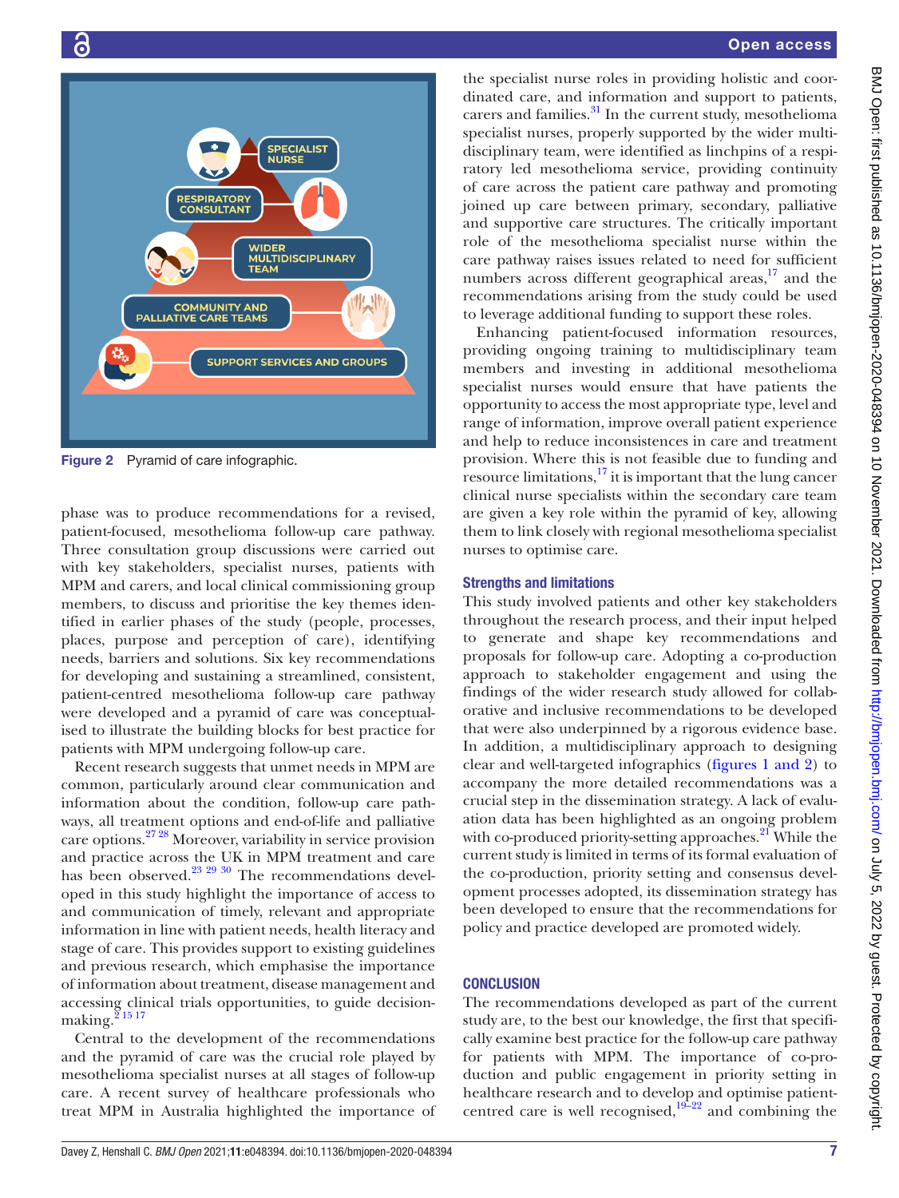

Figure 2 Pyramid of care infographic.

phase was to produce recommendations for a revised, patient-focused, mesothelioma follow-up care pathway. Three consultation group discussions were carried out with key stakeholders, specialist nurses, patients with MPM and carers, and local clinical commissioning group members, to discuss and prioritise the key themes identified in earlier phases of the study (people, processes, places, purpose and perception of care), identifying needs, barriers and solutions. Six key recommendations for developing and sustaining a streamlined, consistent, patient-centred mesothelioma follow-up care pathway were developed and a pyramid of care was conceptualised to illustrate the building blocks for best practice for patients with MPM undergoing follow-up care.

Recent research suggests that unmet needs in MPM are common, particularly around clear communication and information about the condition, follow-up care pathways, all treatment options and end-of-life and palliative care options[.27 28](#page-8-3) Moreover, variability in service provision and practice across the UK in MPM treatment and care has been observed.<sup>[23 29 30](#page-8-0)</sup> The recommendations developed in this study highlight the importance of access to and communication of timely, relevant and appropriate information in line with patient needs, health literacy and stage of care. This provides support to existing guidelines and previous research, which emphasise the importance of information about treatment, disease management and accessing clinical trials opportunities, to guide decisionmaking. $2^{15}$ <sup>17</sup>

Central to the development of the recommendations and the pyramid of care was the crucial role played by mesothelioma specialist nurses at all stages of follow-up care. A recent survey of healthcare professionals who treat MPM in Australia highlighted the importance of

the specialist nurse roles in providing holistic and coordinated care, and information and support to patients, carers and families.<sup>31</sup> In the current study, mesothelioma specialist nurses, properly supported by the wider multidisciplinary team, were identified as linchpins of a respiratory led mesothelioma service, providing continuity of care across the patient care pathway and promoting joined up care between primary, secondary, palliative and supportive care structures. The critically important role of the mesothelioma specialist nurse within the care pathway raises issues related to need for sufficient numbers across different geographical areas, $17$  and the recommendations arising from the study could be used to leverage additional funding to support these roles.

Enhancing patient-focused information resources, providing ongoing training to multidisciplinary team members and investing in additional mesothelioma specialist nurses would ensure that have patients the opportunity to access the most appropriate type, level and range of information, improve overall patient experience and help to reduce inconsistences in care and treatment provision. Where this is not feasible due to funding and resource limitations, $^{17}$  $^{17}$  $^{17}$  it is important that the lung cancer clinical nurse specialists within the secondary care team are given a key role within the pyramid of key, allowing them to link closely with regional mesothelioma specialist nurses to optimise care.

#### Strengths and limitations

This study involved patients and other key stakeholders throughout the research process, and their input helped to generate and shape key recommendations and proposals for follow-up care. Adopting a co-production approach to stakeholder engagement and using the findings of the wider research study allowed for collaborative and inclusive recommendations to be developed that were also underpinned by a rigorous evidence base. In addition, a multidisciplinary approach to designing clear and well-targeted infographics (figures [1 and 2](#page-5-0)) to accompany the more detailed recommendations was a crucial step in the dissemination strategy. A lack of evaluation data has been highlighted as an ongoing problem with co-produced priority-setting approaches. $^{21}$  $^{21}$  $^{21}$  While the current study is limited in terms of its formal evaluation of the co-production, priority setting and consensus development processes adopted, its dissemination strategy has been developed to ensure that the recommendations for policy and practice developed are promoted widely.

## **CONCLUSION**

The recommendations developed as part of the current study are, to the best our knowledge, the first that specifically examine best practice for the follow-up care pathway for patients with MPM. The importance of co-production and public engagement in priority setting in healthcare research and to develop and optimise patientcentred care is well recognised, $19\frac{1}{222}$  and combining the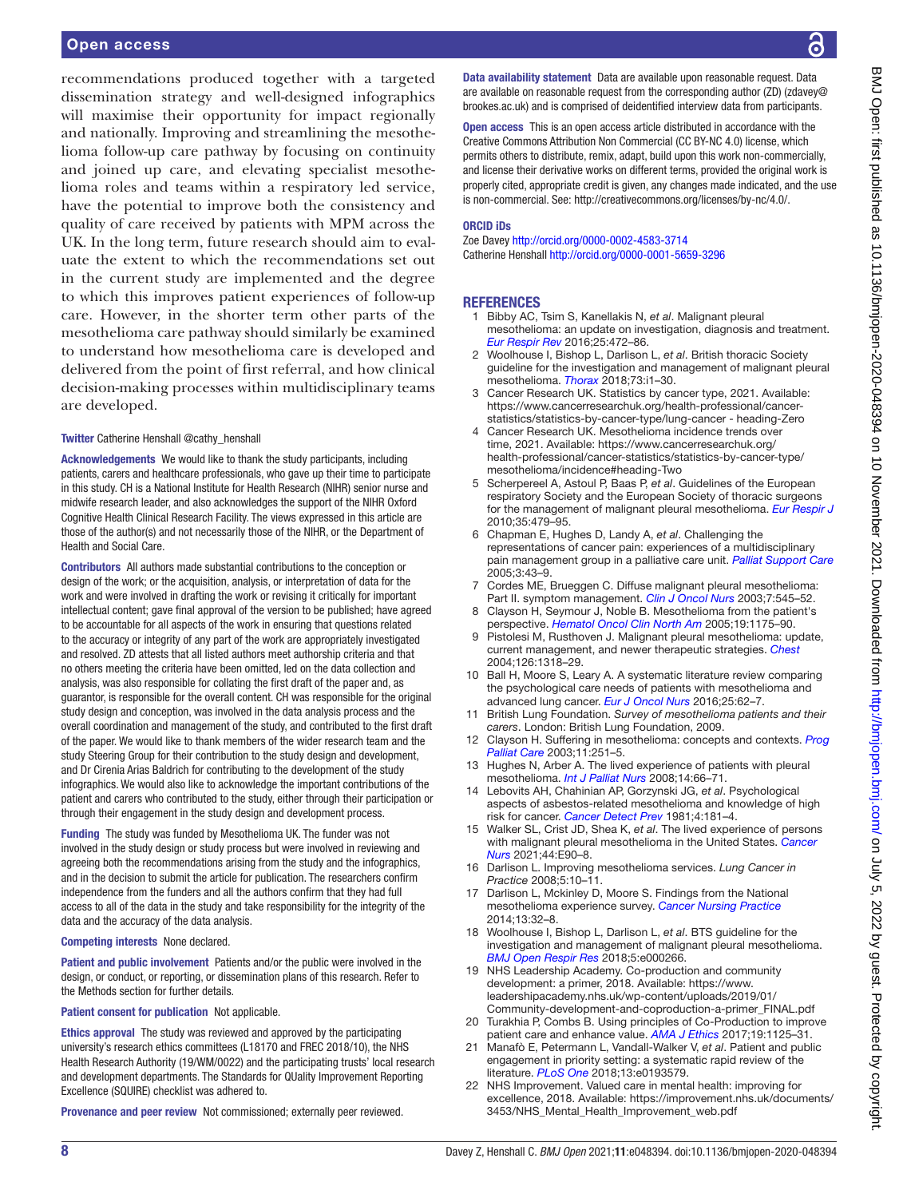#### Open access

recommendations produced together with a targeted dissemination strategy and well-designed infographics will maximise their opportunity for impact regionally and nationally. Improving and streamlining the mesothelioma follow-up care pathway by focusing on continuity and joined up care, and elevating specialist mesothelioma roles and teams within a respiratory led service, have the potential to improve both the consistency and quality of care received by patients with MPM across the UK. In the long term, future research should aim to evaluate the extent to which the recommendations set out in the current study are implemented and the degree to which this improves patient experiences of follow-up care. However, in the shorter term other parts of the mesothelioma care pathway should similarly be examined to understand how mesothelioma care is developed and delivered from the point of first referral, and how clinical decision-making processes within multidisciplinary teams are developed.

#### Twitter Catherine Henshall [@cathy\\_henshall](https://twitter.com/cathy_henshall)

Acknowledgements We would like to thank the study participants, including patients, carers and healthcare professionals, who gave up their time to participate in this study. CH is a National Institute for Health Research (NIHR) senior nurse and midwife research leader, and also acknowledges the support of the NIHR Oxford Cognitive Health Clinical Research Facility. The views expressed in this article are those of the author(s) and not necessarily those of the NIHR, or the Department of Health and Social Care.

Contributors All authors made substantial contributions to the conception or design of the work; or the acquisition, analysis, or interpretation of data for the work and were involved in drafting the work or revising it critically for important intellectual content; gave final approval of the version to be published; have agreed to be accountable for all aspects of the work in ensuring that questions related to the accuracy or integrity of any part of the work are appropriately investigated and resolved. ZD attests that all listed authors meet authorship criteria and that no others meeting the criteria have been omitted, led on the data collection and analysis, was also responsible for collating the first draft of the paper and, as guarantor, is responsible for the overall content. CH was responsible for the original study design and conception, was involved in the data analysis process and the overall coordination and management of the study, and contributed to the first draft of the paper. We would like to thank members of the wider research team and the study Steering Group for their contribution to the study design and development, and Dr Cirenia Arias Baldrich for contributing to the development of the study infographics. We would also like to acknowledge the important contributions of the patient and carers who contributed to the study, either through their participation or through their engagement in the study design and development process.

Funding The study was funded by Mesothelioma UK. The funder was not involved in the study design or study process but were involved in reviewing and agreeing both the recommendations arising from the study and the infographics, and in the decision to submit the article for publication. The researchers confirm independence from the funders and all the authors confirm that they had full access to all of the data in the study and take responsibility for the integrity of the data and the accuracy of the data analysis.

#### Competing interests None declared.

Patient and public involvement Patients and/or the public were involved in the design, or conduct, or reporting, or dissemination plans of this research. Refer to the Methods section for further details.

#### Patient consent for publication Not applicable.

Ethics approval The study was reviewed and approved by the participating university's research ethics committees (L18170 and FREC 2018/10), the NHS Health Research Authority (19/WM/0022) and the participating trusts' local research and development departments. The Standards for QUality Improvement Reporting Excellence (SQUIRE) checklist was adhered to.

Provenance and peer review Not commissioned; externally peer reviewed.

BMJ Open: first published as 10.1136/bmijopen-2020-048394 on 10 November 2021. Downloaded from http://bmjopen.bmj.com/ on July 5, 2022 by guest. Protected by copyright BMJ Open: first published as 10.1136/bmjopen-2020-048394 on 10 November 2021. Downloaded from <http://bmjopen.bmj.com/> on July 5, 2022 by guest. Protected by copyright.

Data availability statement Data are available upon reasonable request. Data are available on reasonable request from the corresponding author (ZD) (zdavey@ brookes.ac.uk) and is comprised of deidentified interview data from participants.

Open access This is an open access article distributed in accordance with the Creative Commons Attribution Non Commercial (CC BY-NC 4.0) license, which permits others to distribute, remix, adapt, build upon this work non-commercially, and license their derivative works on different terms, provided the original work is properly cited, appropriate credit is given, any changes made indicated, and the use is non-commercial. See: [http://creativecommons.org/licenses/by-nc/4.0/.](http://creativecommons.org/licenses/by-nc/4.0/)

#### ORCID iDs

Zoe Davey <http://orcid.org/0000-0002-4583-3714> Catherine Henshall<http://orcid.org/0000-0001-5659-3296>

#### **REFERENCES**

- <span id="page-7-0"></span>1 Bibby AC, Tsim S, Kanellakis N, *et al*. Malignant pleural mesothelioma: an update on investigation, diagnosis and treatment. *[Eur Respir Rev](http://dx.doi.org/10.1183/16000617.0063-2016)* 2016;25:472–86.
- <span id="page-7-1"></span>2 Woolhouse I, Bishop L, Darlison L, *et al*. British thoracic Society guideline for the investigation and management of malignant pleural mesothelioma. *[Thorax](http://dx.doi.org/10.1136/thoraxjnl-2017-211321)* 2018;73:i1–30.
- <span id="page-7-2"></span>3 Cancer Research UK. Statistics by cancer type, 2021. Available: [https://www.cancerresearchuk.org/health-professional/cancer](https://www.cancerresearchuk.org/health-professional/cancer-statistics/statistics-by-cancer-type/lung-cancer%20-%20heading-Zero)[statistics/statistics-by-cancer-type/lung-cancer - heading-Zero](https://www.cancerresearchuk.org/health-professional/cancer-statistics/statistics-by-cancer-type/lung-cancer%20-%20heading-Zero)
- <span id="page-7-3"></span>4 Cancer Research UK. Mesothelioma incidence trends over time, 2021. Available: [https://www.cancerresearchuk.org/](https://www.cancerresearchuk.org/health-professional/cancer-statistics/statistics-by-cancer-type/mesothelioma/incidence#heading-Two) [health-professional/cancer-statistics/statistics-by-cancer-type/](https://www.cancerresearchuk.org/health-professional/cancer-statistics/statistics-by-cancer-type/mesothelioma/incidence#heading-Two) [mesothelioma/incidence#heading-Two](https://www.cancerresearchuk.org/health-professional/cancer-statistics/statistics-by-cancer-type/mesothelioma/incidence#heading-Two)
- <span id="page-7-4"></span>5 Scherpereel A, Astoul P, Baas P, *et al*. Guidelines of the European respiratory Society and the European Society of thoracic surgeons for the management of malignant pleural mesothelioma. *[Eur Respir J](http://dx.doi.org/10.1183/09031936.00063109)* 2010;35:479–95.
- <span id="page-7-5"></span>6 Chapman E, Hughes D, Landy A, *et al*. Challenging the representations of cancer pain: experiences of a multidisciplinary pain management group in a palliative care unit. *[Palliat Support Care](http://dx.doi.org/10.1017/S1478951505050078)* 2005;3:43–9.
- 7 Cordes ME, Brueggen C. Diffuse malignant pleural mesothelioma: Part II. symptom management. *[Clin J Oncol Nurs](http://dx.doi.org/10.1188/03.CJON.545-552)* 2003;7:545–52.
- 8 Clayson H, Seymour J, Noble B. Mesothelioma from the patient's perspective. *[Hematol Oncol Clin North Am](http://dx.doi.org/10.1016/j.hoc.2005.09.003)* 2005;19:1175–90.
- 9 Pistolesi M, Rusthoven J. Malignant pleural mesothelioma: update, current management, and newer therapeutic strategies. *[Chest](http://dx.doi.org/10.1378/chest.126.4.1318)* 2004;126:1318–29.
- 10 Ball H, Moore S, Leary A. A systematic literature review comparing the psychological care needs of patients with mesothelioma and advanced lung cancer. *[Eur J Oncol Nurs](http://dx.doi.org/10.1016/j.ejon.2016.09.007)* 2016;25:62–7.
- 11 British Lung Foundation. *Survey of mesothelioma patients and their carers*. London: British Lung Foundation, 2009.
- 12 Clayson H. Suffering in mesothelioma: concepts and contexts. *[Prog](http://dx.doi.org/10.1179/096992603322731143)  [Palliat Care](http://dx.doi.org/10.1179/096992603322731143)* 2003;11:251–5.
- 13 Hughes N, Arber A. The lived experience of patients with pleural mesothelioma. *[Int J Palliat Nurs](http://dx.doi.org/10.12968/ijpn.2008.14.2.28597)* 2008;14:66–71.
- 14 Lebovits AH, Chahinian AP, Gorzynski JG, *et al*. Psychological aspects of asbestos-related mesothelioma and knowledge of high risk for cancer. *[Cancer Detect Prev](http://www.ncbi.nlm.nih.gov/pubmed/7349775)* 1981;4:181–4.
- 15 Walker SL, Crist JD, Shea K, *et al*. The lived experience of persons with malignant pleural mesothelioma in the United States. *[Cancer](http://dx.doi.org/10.1097/NCC.0000000000000770)  [Nurs](http://dx.doi.org/10.1097/NCC.0000000000000770)* 2021;44:E90–8.
- 16 Darlison L. Improving mesothelioma services. *Lung Cancer in Practice* 2008;5:10–11.
- <span id="page-7-6"></span>17 Darlison L, Mckinley D, Moore S. Findings from the National mesothelioma experience survey. *[Cancer Nursing Practice](http://dx.doi.org/10.7748/cnp2014.04.13.3.32.e1063)* 2014;13:32–8.
- 18 Woolhouse I, Bishop L, Darlison L, *et al*. BTS guideline for the investigation and management of malignant pleural mesothelioma. *[BMJ Open Respir Res](http://dx.doi.org/10.1136/bmjresp-2017-000266)* 2018;5:e000266.
- <span id="page-7-7"></span>19 NHS Leadership Academy. Co-production and community development: a primer, 2018. Available: [https://www.](https://www.leadershipacademy.nhs.uk/wp-content/uploads/2019/01/Community-development-and-coproduction-a-primer_FINAL.pdf) [leadershipacademy.nhs.uk/wp-content/uploads/2019/01/](https://www.leadershipacademy.nhs.uk/wp-content/uploads/2019/01/Community-development-and-coproduction-a-primer_FINAL.pdf) [Community-development-and-coproduction-a-primer\\_FINAL.pdf](https://www.leadershipacademy.nhs.uk/wp-content/uploads/2019/01/Community-development-and-coproduction-a-primer_FINAL.pdf)
- 20 Turakhia P, Combs B. Using principles of Co-Production to improve patient care and enhance value. *[AMA J Ethics](http://dx.doi.org/10.1001/journalofethics.2017.19.11.pfor1-1711)* 2017;19:1125–31.
- <span id="page-7-8"></span>21 Manafò E, Petermann L, Vandall-Walker V, *et al*. Patient and public engagement in priority setting: a systematic rapid review of the literature. *[PLoS One](http://dx.doi.org/10.1371/journal.pone.0193579)* 2018;13:e0193579.
- 22 NHS Improvement. Valued care in mental health: improving for excellence, 2018. Available: [https://improvement.nhs.uk/documents/](https://improvement.nhs.uk/documents/3453/NHS_Mental_Health_Improvement_web.pdf) [3453/NHS\\_Mental\\_Health\\_Improvement\\_web.pdf](https://improvement.nhs.uk/documents/3453/NHS_Mental_Health_Improvement_web.pdf)